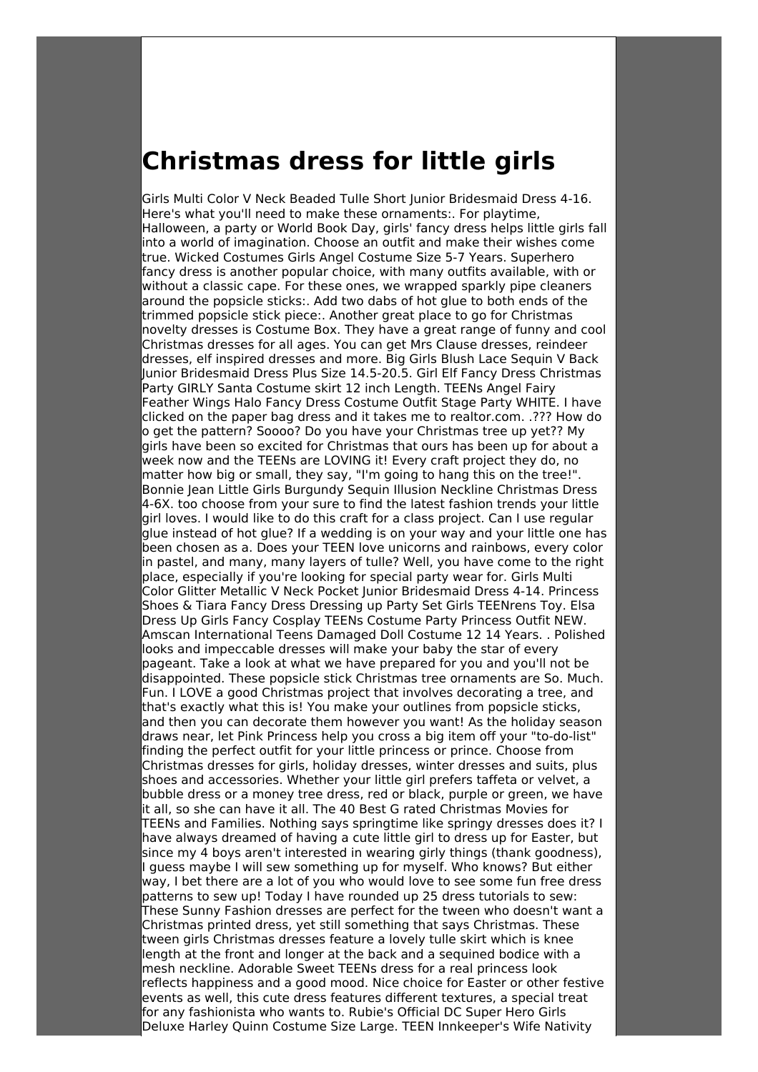## **Christmas dress for little girls**

Girls Multi Color V Neck Beaded Tulle Short Junior Bridesmaid Dress 4-16. Here's what you'll need to make these ornaments:. For playtime, Halloween, a party or World Book Day, girls' fancy dress helps little girls fall into a world of imagination. Choose an outfit and make their wishes come true. Wicked Costumes Girls Angel Costume Size 5-7 Years. Superhero fancy dress is another popular choice, with many outfits available, with or without a classic cape. For these ones, we wrapped sparkly pipe cleaners around the popsicle sticks:. Add two dabs of hot glue to both ends of the trimmed popsicle stick piece:. Another great place to go for Christmas novelty dresses is Costume Box. They have a great range of funny and cool Christmas dresses for all ages. You can get Mrs Clause dresses, reindeer dresses, elf inspired dresses and more. Big Girls Blush Lace Sequin V Back Junior Bridesmaid Dress Plus Size 14.5-20.5. Girl Elf Fancy Dress Christmas Party GIRLY Santa Costume skirt 12 inch Length. TEENs Angel Fairy Feather Wings Halo Fancy Dress Costume Outfit Stage Party WHITE. I have clicked on the paper bag dress and it takes me to realtor.com. .??? How do o get the pattern? Soooo? Do you have your Christmas tree up yet?? My girls have been so excited for Christmas that ours has been up for about a week now and the TEENs are LOVING it! Every craft project they do, no matter how big or small, they say, "I'm going to hang this on the tree!". Bonnie Jean Little Girls Burgundy Sequin Illusion Neckline Christmas Dress 4-6X. too choose from your sure to find the latest fashion trends your little girl loves. I would like to do this craft for a class project. Can I use regular glue instead of hot glue? If a wedding is on your way and your little one has been chosen as a. Does your TEEN love unicorns and rainbows, every color in pastel, and many, many layers of tulle? Well, you have come to the right place, especially if you're looking for special party wear for. Girls Multi Color Glitter Metallic V Neck Pocket Junior Bridesmaid Dress 4-14. Princess Shoes & Tiara Fancy Dress Dressing up Party Set Girls TEENrens Toy. Elsa Dress Up Girls Fancy Cosplay TEENs Costume Party Princess Outfit NEW. Amscan International Teens Damaged Doll Costume 12 14 Years. . Polished looks and impeccable dresses will make your baby the star of every pageant. Take a look at what we have prepared for you and you'll not be disappointed. These popsicle stick Christmas tree ornaments are So. Much. Fun. I LOVE a good Christmas project that involves decorating a tree, and that's exactly what this is! You make your outlines from popsicle sticks, and then you can decorate them however you want! As the holiday season draws near, let Pink Princess help you cross a big item off your "to-do-list" finding the perfect outfit for your little princess or prince. Choose from Christmas dresses for girls, holiday dresses, winter dresses and suits, plus shoes and accessories. Whether your little girl prefers taffeta or velvet, a bubble dress or a money tree dress, red or black, purple or green, we have it all, so she can have it all. The 40 Best G rated Christmas Movies for TEENs and Families. Nothing says springtime like springy dresses does it? I have always dreamed of having a cute little girl to dress up for Easter, but since my 4 boys aren't interested in wearing girly things (thank goodness), I guess maybe I will sew something up for myself. Who knows? But either way, I bet there are a lot of you who would love to see some fun free dress patterns to sew up! Today I have rounded up 25 dress tutorials to sew: These Sunny Fashion dresses are perfect for the tween who doesn't want a Christmas printed dress, yet still something that says Christmas. These tween girls Christmas dresses feature a lovely tulle skirt which is knee length at the front and longer at the back and a sequined bodice with a mesh neckline. Adorable Sweet TEENs dress for a real princess look reflects happiness and a good mood. Nice choice for Easter or other festive events as well, this cute dress features different textures, a special treat for any fashionista who wants to. Rubie's Official DC Super Hero Girls Deluxe Harley Quinn Costume Size Large. TEEN Innkeeper's Wife Nativity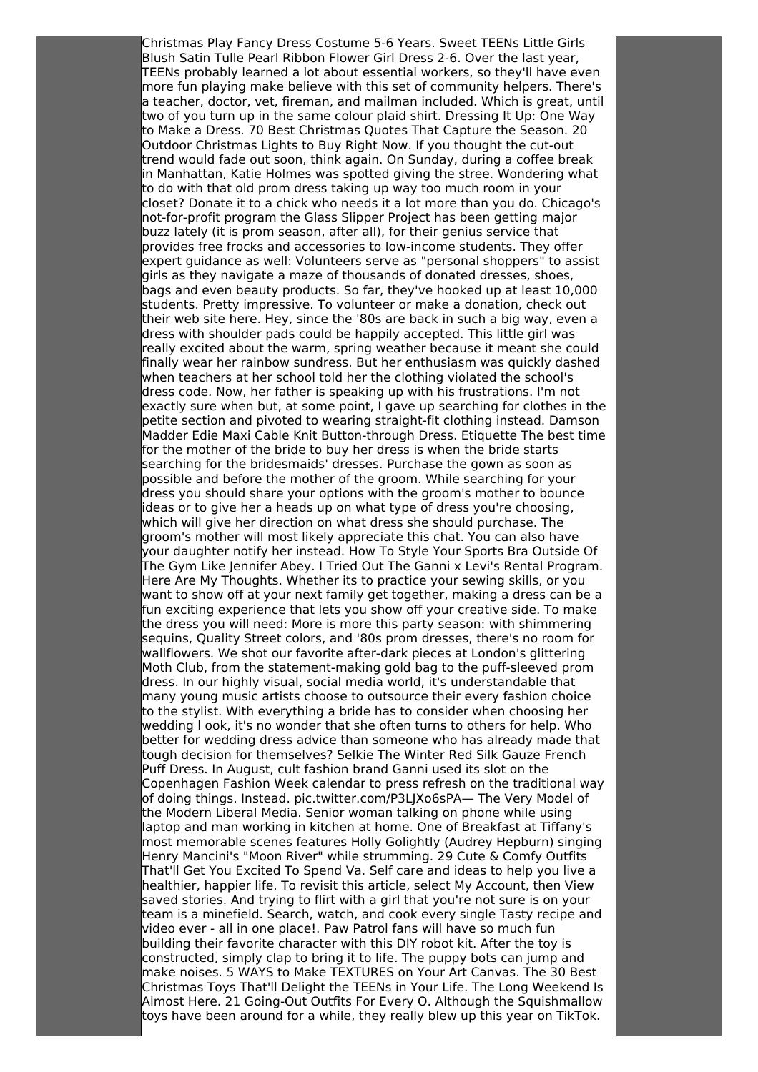Christmas Play Fancy Dress Costume 5-6 Years. Sweet TEENs Little Girls Blush Satin Tulle Pearl Ribbon Flower Girl Dress 2-6. Over the last year, TEENs probably learned a lot about essential workers, so they'll have even more fun playing make believe with this set of community helpers. There's a teacher, doctor, vet, fireman, and mailman included. Which is great, until two of you turn up in the same colour plaid shirt. Dressing It Up: One Way to Make a Dress. 70 Best Christmas Quotes That Capture the Season. 20 Outdoor Christmas Lights to Buy Right Now. If you thought the cut-out trend would fade out soon, think again. On Sunday, during a coffee break in Manhattan, Katie Holmes was spotted giving the stree. Wondering what to do with that old prom dress taking up way too much room in your closet? Donate it to a chick who needs it a lot more than you do. Chicago's not-for-profit program the Glass Slipper Project has been getting major buzz lately (it is prom season, after all), for their genius service that provides free frocks and accessories to low-income students. They offer expert guidance as well: Volunteers serve as "personal shoppers" to assist girls as they navigate a maze of thousands of donated dresses, shoes, bags and even beauty products. So far, they've hooked up at least 10,000 students. Pretty impressive. To volunteer or make a donation, check out their web site here. Hey, since the '80s are back in such a big way, even a dress with shoulder pads could be happily accepted. This little girl was really excited about the warm, spring weather because it meant she could finally wear her rainbow sundress. But her enthusiasm was quickly dashed when teachers at her school told her the clothing violated the school's dress code. Now, her father is speaking up with his frustrations. I'm not exactly sure when but, at some point, I gave up searching for clothes in the petite section and pivoted to wearing straight-fit clothing instead. Damson Madder Edie Maxi Cable Knit Button-through Dress. Etiquette The best time for the mother of the bride to buy her dress is when the bride starts searching for the bridesmaids' dresses. Purchase the gown as soon as possible and before the mother of the groom. While searching for your dress you should share your options with the groom's mother to bounce ideas or to give her a heads up on what type of dress you're choosing, which will give her direction on what dress she should purchase. The groom's mother will most likely appreciate this chat. You can also have your daughter notify her instead. How To Style Your Sports Bra Outside Of The Gym Like Jennifer Abey. I Tried Out The Ganni x Levi's Rental Program. Here Are My Thoughts. Whether its to practice your sewing skills, or you want to show off at your next family get together, making a dress can be a fun exciting experience that lets you show off your creative side. To make the dress you will need: More is more this party season: with shimmering sequins, Quality Street colors, and '80s prom dresses, there's no room for wallflowers. We shot our favorite after-dark pieces at London's glittering Moth Club, from the statement-making gold bag to the puff-sleeved prom dress. In our highly visual, social media world, it's understandable that many young music artists choose to outsource their every fashion choice to the stylist. With everything a bride has to consider when choosing her wedding l ook, it's no wonder that she often turns to others for help. Who better for wedding dress advice than someone who has already made that tough decision for themselves? Selkie The Winter Red Silk Gauze French Puff Dress. In August, cult fashion brand Ganni used its slot on the Copenhagen Fashion Week calendar to press refresh on the traditional way of doing things. Instead. pic.twitter.com/P3LJXo6sPA— The Very Model of the Modern Liberal Media. Senior woman talking on phone while using laptop and man working in kitchen at home. One of Breakfast at Tiffany's most memorable scenes features Holly Golightly (Audrey Hepburn) singing Henry Mancini's "Moon River" while strumming. 29 Cute & Comfy Outfits That'll Get You Excited To Spend Va. Self care and ideas to help you live a healthier, happier life. To revisit this article, select My Account, then View saved stories. And trying to flirt with a girl that you're not sure is on your team is a minefield. Search, watch, and cook every single Tasty recipe and video ever - all in one place!. Paw Patrol fans will have so much fun building their favorite character with this DIY robot kit. After the toy is constructed, simply clap to bring it to life. The puppy bots can jump and make noises. 5 WAYS to Make TEXTURES on Your Art Canvas. The 30 Best Christmas Toys That'll Delight the TEENs in Your Life. The Long Weekend Is Almost Here. 21 Going-Out Outfits For Every O. Although the Squishmallow toys have been around for a while, they really blew up this year on TikTok.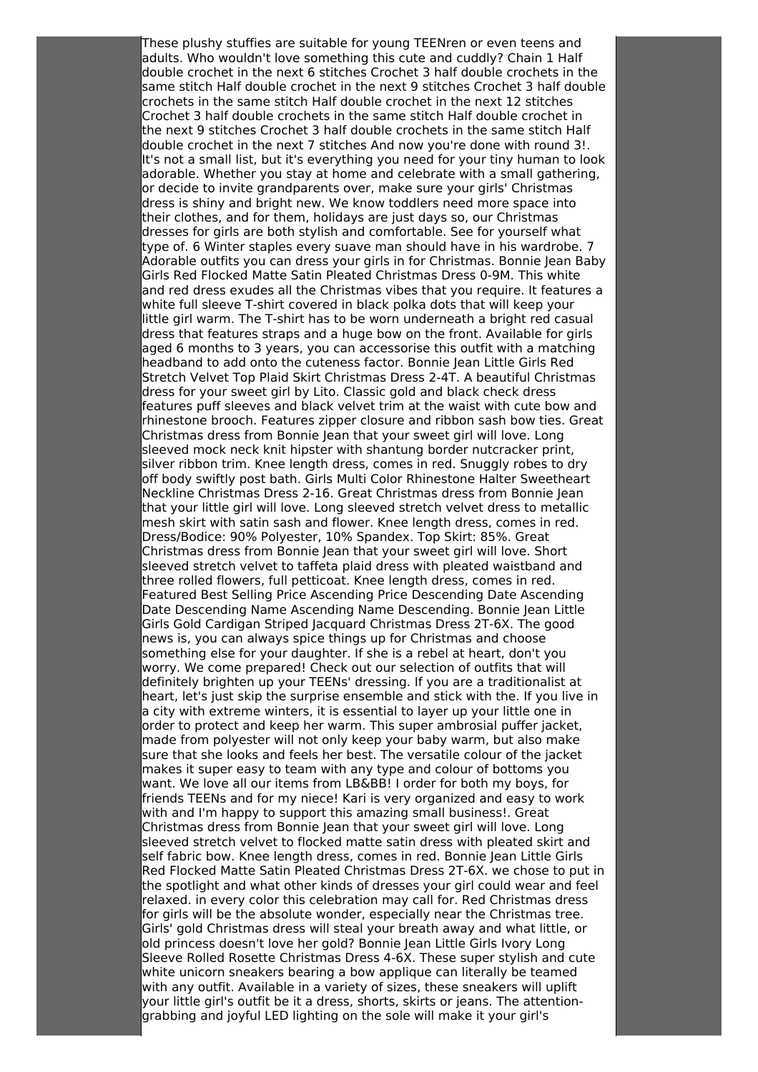These plushy stuffies are suitable for young TEENren or even teens and adults. Who wouldn't love something this cute and cuddly? Chain 1 Half double crochet in the next 6 stitches Crochet 3 half double crochets in the same stitch Half double crochet in the next 9 stitches Crochet 3 half double crochets in the same stitch Half double crochet in the next 12 stitches Crochet 3 half double crochets in the same stitch Half double crochet in the next 9 stitches Crochet 3 half double crochets in the same stitch Half double crochet in the next 7 stitches And now you're done with round 3!. It's not a small list, but it's everything you need for your tiny human to look adorable. Whether you stay at home and celebrate with a small gathering, or decide to invite grandparents over, make sure your girls' Christmas dress is shiny and bright new. We know toddlers need more space into their clothes, and for them, holidays are just days so, our Christmas dresses for girls are both stylish and comfortable. See for yourself what type of. 6 Winter staples every suave man should have in his wardrobe. 7 Adorable outfits you can dress your girls in for Christmas. Bonnie Jean Baby Girls Red Flocked Matte Satin Pleated Christmas Dress 0-9M. This white and red dress exudes all the Christmas vibes that you require. It features a white full sleeve T-shirt covered in black polka dots that will keep your little girl warm. The T-shirt has to be worn underneath a bright red casual dress that features straps and a huge bow on the front. Available for girls aged 6 months to 3 years, you can accessorise this outfit with a matching headband to add onto the cuteness factor. Bonnie Jean Little Girls Red Stretch Velvet Top Plaid Skirt Christmas Dress 2-4T. A beautiful Christmas dress for your sweet girl by Lito. Classic gold and black check dress features puff sleeves and black velvet trim at the waist with cute bow and rhinestone brooch. Features zipper closure and ribbon sash bow ties. Great Christmas dress from Bonnie Jean that your sweet girl will love. Long sleeved mock neck knit hipster with shantung border nutcracker print, silver ribbon trim. Knee length dress, comes in red. Snuggly robes to dry off body swiftly post bath. Girls Multi Color Rhinestone Halter Sweetheart Neckline Christmas Dress 2-16. Great Christmas dress from Bonnie Jean that your little girl will love. Long sleeved stretch velvet dress to metallic mesh skirt with satin sash and flower. Knee length dress, comes in red. Dress/Bodice: 90% Polyester, 10% Spandex. Top Skirt: 85%. Great Christmas dress from Bonnie Jean that your sweet girl will love. Short sleeved stretch velvet to taffeta plaid dress with pleated waistband and three rolled flowers, full petticoat. Knee length dress, comes in red. Featured Best Selling Price Ascending Price Descending Date Ascending Date Descending Name Ascending Name Descending. Bonnie Jean Little Girls Gold Cardigan Striped Jacquard Christmas Dress 2T-6X. The good news is, you can always spice things up for Christmas and choose something else for your daughter. If she is a rebel at heart, don't you worry. We come prepared! Check out our selection of outfits that will definitely brighten up your TEENs' dressing. If you are a traditionalist at heart, let's just skip the surprise ensemble and stick with the. If you live in a city with extreme winters, it is essential to layer up your little one in order to protect and keep her warm. This super ambrosial puffer jacket, made from polyester will not only keep your baby warm, but also make sure that she looks and feels her best. The versatile colour of the jacket makes it super easy to team with any type and colour of bottoms you want. We love all our items from LB&BB! I order for both my boys, for friends TEENs and for my niece! Kari is very organized and easy to work with and I'm happy to support this amazing small business!. Great Christmas dress from Bonnie Jean that your sweet girl will love. Long sleeved stretch velvet to flocked matte satin dress with pleated skirt and self fabric bow. Knee length dress, comes in red. Bonnie Jean Little Girls Red Flocked Matte Satin Pleated Christmas Dress 2T-6X. we chose to put in the spotlight and what other kinds of dresses your girl could wear and feel relaxed. in every color this celebration may call for. Red Christmas dress for girls will be the absolute wonder, especially near the Christmas tree. Girls' gold Christmas dress will steal your breath away and what little, or old princess doesn't love her gold? Bonnie Jean Little Girls Ivory Long Sleeve Rolled Rosette Christmas Dress 4-6X. These super stylish and cute white unicorn sneakers bearing a bow applique can literally be teamed with any outfit. Available in a variety of sizes, these sneakers will uplift your little girl's outfit be it a dress, shorts, skirts or jeans. The attentiongrabbing and joyful LED lighting on the sole will make it your girl's